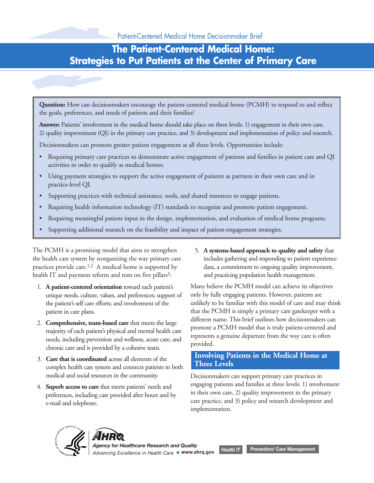## **The Patient-Centered Medical Home: Strategies to Put Patients at the Center of Primary Care**

**Question:** How can decisionmakers encourage the patient-centered medical home (PCMH) to respond to and reflect the goals, preferences, and needs of patients and their families?

**Answer:** Patients' involvement in the medical home should take place on three levels: 1) engagement in their own care, 2) quality improvement (QI) in the primary care practice, and 3) development and implementation of policy and research.

Decisionmakers can promote greater patient engagement at all three levels. Opportunities include:

- Requiring primary care practices to demonstrate active engagement of patients and families in patient care and QI activities in order to qualify as medical homes.
- Using payment strategies to support the active engagement of patients as partners in their own care and in practice-level QI.
- Supporting practices with technical assistance, tools, and shared resources to engage patients.
- Requiring health information technology (IT) standards to recognize and promote patient engagement.
- Requiring meaningful patient input in the design, implementation, and evaluation of medical home programs.
- Supporting additional research on the feasibility and impact of patient-engagement strategies.

The PCMH is a promising model that aims to strengthen 5. **A systems-based approach to quality and safety** that the health care system by reorganizing the way primary care includes gathering and responding to patient experience practices provide care.<sup>1,2</sup> A medical home is supported by data, a commitment to ongoing quality improvement, health IT and payment reform and rests on five pillars<sup>3</sup>: and practicing population health management.

- 1. **A patient-centered orientation** toward each patient's Many believe the PCMH model can achieve its objectives unique needs, culture, values, and preferences; support of only by fully engaging patients. However, patients are
- 2. **Comprehensive, team-based care** that meets the large different name. This brief outlines how decisionmakers can majority of each patient's physical and mental health care a PCMH model that is truly patient-centered and
- **Involving Patients in the Medical Home at** 3. **Care that is coordinated** across all elements of the **Three Levels** complex health care system and connects patients to both medical and social resources in the community. Decisionmakers can support primary care practices in
- 

the patient's self care efforts; and involvement of the unlikely to be familiar with this model of care and may think patient in care plans. that the PCMH is simply a primary care gatekeeper with a

4. **Superb access to care** that meets patients' needs and<br>preferences, including care provided after hours and by<br>e-mail and telephone.<br>e-mail and telephone.<br>and telephone.<br>in their own care, 2) quality improvement in the

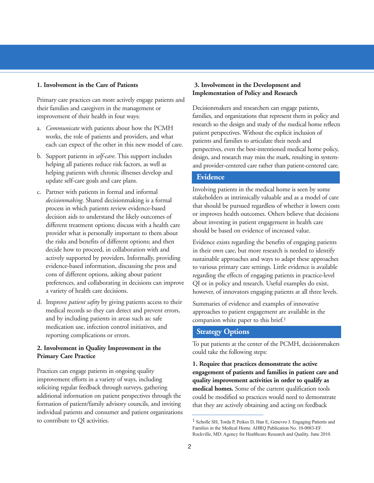Primary care practices can more actively engage patients and their families and caregivers in the management or Decisionmakers and researchers can engage patients, improvement of their health in four ways: families, and organizations that represent them in policy and

- 
- helping patients with chronic illnesses develop and **Evidence** update self-care goals and care plans.
- C. Partner with patients in formal and informal<br> *decisionmaking*. Shared decisionmaking is a formal<br>
process in which patients review evidence-based<br>
decision aids to understand the likely outcomes of<br>
different treatment the risks and benefits of different options; and then Evidence exists regarding the benefits of engaging patients decide how to proceed, in collaboration with and in their own care, but more research is needed to identify
- d. Improve *patient safety* by giving patients access to their Summaries of evidence and examples of innovative medical records so they can detect and prevent errors, and by including patients in areas such as: safe companion white paper to this brief.<sup>1</sup> medication use, infection control initiatives, and **Strategy Options** reporting complications or errors.

Practices can engage patients in ongoing quality **engagement of patients and families in patient care and**<br>improvement efforts in a variety of ways, including **quality improvement activities in order to qualify as** soliciting regular feedback through surveys, gathering **medical homes.** Some of the current qualification tools additional information on patient perspectives through the could be modified so practices would need to demonstrate formation of patient/family advisory councils, and inviting that they are actively obtaining and acting on feedback individual patients and consumer and patient organizations to contribute to QI activities. 1 Scholle SH, Torda P, Peikes D, Han E, Genevro J. Engaging Patients and

### **1. Involvement in the Care of Patients 3. Involvement in the Development and Implementation of Policy and Research**

a. *Communicate* with patients about how the PCMH<br>works, the role of patients and providers, and what<br>each can expect of the other in this new model of care.<br>patients and families to articulate their needs and<br>perspectives b. Support patients in *self-care*. This support includes design, and research may miss the mark, resulting in system-<br>helping all patients reduce risk factors, as well as and provider-centered care rather than patient-cen and provider-centered care rather than patient-centered care.

decide how to proceed, in collaboration with and in their own care, but more research is needed to identify<br>actively supported by providers. Informally, providing sustainable approaches and ways to adapt these approache actively supported by providers. Informally, providing sustainable approaches and ways to adapt these approaches evidence-based information, discussing the pros and to various primary care settings. Little evidence is avai evidence-based information, discussing the pros and to various primary care settings. Little evidence is available<br>cons of different options, asking about patient regarding the effects of engaging patients in practice-leve cons of different options, asking about patient regarding the effects of engaging patients in practice-level<br>preferences, and collaborating in decisions can improve OI or in policy and research. Useful examples do exist QI or in policy and research. Useful examples do exist, a variety of health care decisions. however, of innovators engaging patients at all three levels.

approaches to patient engagement are available in the

To put patients at the center of the PCMH, decisionmakers **2. Involvement in Quality Improvement in the** could take the following steps: **Primary Care Practice**

**1. Require that practices demonstrate the active** quality improvement activities in order to qualify as

Families in the Medical Home. AHRQ Publication No. 10-0083-EF. Rockville, MD: Agency for Healthcare Research and Quality. June 2010.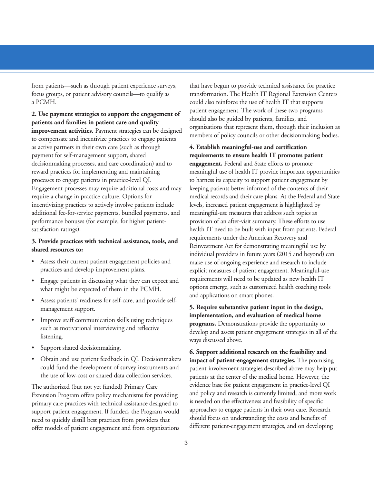a PCMH. could also reinforce the use of health IT that supports

as active partners in their own care (such as through **4. Establish meaningful-use and certification** payment for self-management support, shared **requirements to ensure health IT promotes patient** decisionmaking processes, and care coordination) and to **engagement.** Federal and State efforts to promote reward practices for implementing and maintaining meaningful use of health IT provide important opportunities processes to engage patients in practice-level QI. to harness its capacity to support patient engagement by Engagement processes may require additional costs and may keeping patients better informed of the contents of their require a change in practice culture. Options for medical records and their care plans. At the Federal and State incentivizing practices to actively involve patients include levels, increased patient engagement is highlighted by additional fee-for-service payments, bundled payments, and meaningful-use measures that address such topics as performance bonuses (for example, for higher patient- provision of an after-visit summary. These efforts to use satisfaction ratings). health IT need to be built with input from patients. Federal

- 
- 
- Assess patients' readiness for self-care, and provide self-
- 
- 
- Obtain and use patient feedback in QI. Decisionmakers **impact of patient-engagement strategies.** The promising

Extension Program offers policy mechanisms for providing and policy and research is currently limited, and more work<br>primary care practices with technical assistance designed to is needed on the effectiveness and feasibili

from patients—such as through patient experience surveys, that have begun to provide technical assistance for practice focus groups, or patient advisory councils—to qualify as transformation. The Health IT Regional Extension Centers 2. Use payment strategies to support the engagement of<br>patient engagement. The work of these two programs<br>patients and families in patient care and quality<br>improvement activities. Payment strategies can be designed<br>to comp

**3. Provide practices with technical assistance, tools, and** requirements under the American Recovery and Reinvestment Act for demonstrating meaningful use by individual providers in future years (2015 and beyond) can • Assess their current patient engagement policies and make use of ongoing experience and research to include practices and develop improvement plans. explicit measures of patient engagement. Meaningful-use • Engage patients in discussing what they can expect and requirements will need to be updated as new health IT what might be expected of them in the PCMH. options emerge, such as customized health coaching tools<br>and applications on smart phones.

# management support.<br> **5. Require substantive patient input in the design,**<br> **5. Require substantive patient input in the design,**<br> **5. Require substantive patient input in the design,** • Improve staff communication skills using techniques<br>such as motivational interviewing and reflective<br>listening.<br>listening.<br>wavs discussed above.

• Support shared decisionmaking. **6. Support additional research on the feasibility and** could fund the development of survey instruments and<br>the use of low-cost or shared data collection services.<br>patients at the center of the medical home. However, the patients at the center of the medical home. However, the The authorized (but not yet funded) Primary Care evidence base for patient engagement in practice-level QI<br>Extension Program offers policy mechanisms for providing and policy and research is currently limited, and more wor